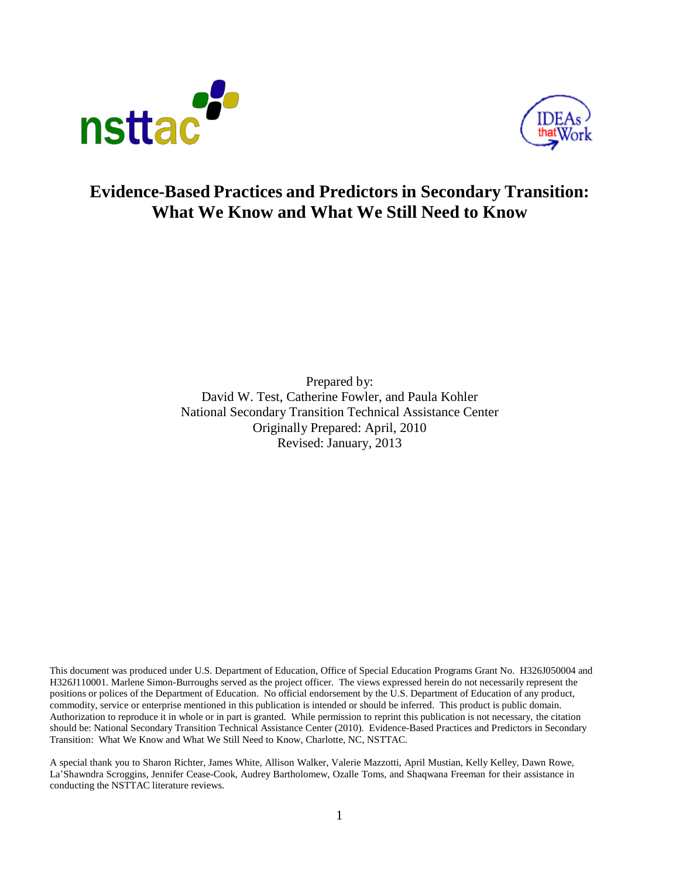



# **Evidence-Based Practices and Predictors in Secondary Transition: What We Know and What We Still Need to Know**

Prepared by: David W. Test, Catherine Fowler, and Paula Kohler National Secondary Transition Technical Assistance Center Originally Prepared: April, 2010 Revised: January, 2013

This document was produced under U.S. Department of Education, Office of Special Education Programs Grant No. H326J050004 and H326J110001. Marlene Simon-Burroughs served as the project officer. The views expressed herein do not necessarily represent the positions or polices of the Department of Education. No official endorsement by the U.S. Department of Education of any product, commodity, service or enterprise mentioned in this publication is intended or should be inferred. This product is public domain. Authorization to reproduce it in whole or in part is granted. While permission to reprint this publication is not necessary, the citation should be: National Secondary Transition Technical Assistance Center (2010). Evidence-Based Practices and Predictors in Secondary Transition: What We Know and What We Still Need to Know, Charlotte, NC, NSTTAC.

A special thank you to Sharon Richter, James White, Allison Walker, Valerie Mazzotti, April Mustian, Kelly Kelley, Dawn Rowe, La'Shawndra Scroggins, Jennifer Cease-Cook, Audrey Bartholomew, Ozalle Toms, and Shaqwana Freeman for their assistance in conducting the NSTTAC literature reviews.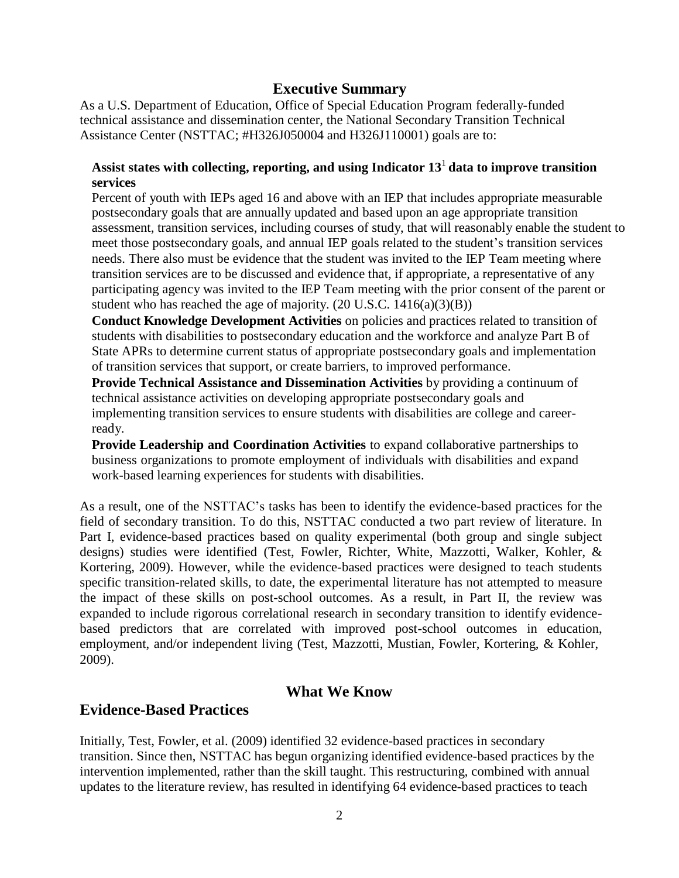## **Executive Summary**

As a U.S. Department of Education, Office of Special Education Program federally-funded technical assistance and dissemination center, the National Secondary Transition Technical Assistance Center (NSTTAC; #H326J050004 and H326J110001) goals are to:

### **Assist states with collecting, reporting, and using Indicator 13** <sup>1</sup>**data to improve transition services**

Percent of youth with IEPs aged 16 and above with an IEP that includes appropriate measurable postsecondary goals that are annually updated and based upon an age appropriate transition assessment, transition services, including courses of study, that will reasonably enable the student to meet those postsecondary goals, and annual IEP goals related to the student's transition services needs. There also must be evidence that the student was invited to the IEP Team meeting where transition services are to be discussed and evidence that, if appropriate, a representative of any participating agency was invited to the IEP Team meeting with the prior consent of the parent or student who has reached the age of majority.  $(20 \text{ U.S.C. } 1416(a)(3)(B))$ 

**Conduct Knowledge Development Activities** on policies and practices related to transition of students with disabilities to postsecondary education and the workforce and analyze Part B of State APRs to determine current status of appropriate postsecondary goals and implementation of transition services that support, or create barriers, to improved performance.

**Provide Technical Assistance and Dissemination Activities** by providing a continuum of technical assistance activities on developing appropriate postsecondary goals and implementing transition services to ensure students with disabilities are college and careerready.

**Provide Leadership and Coordination Activities** to expand collaborative partnerships to business organizations to promote employment of individuals with disabilities and expand work-based learning experiences for students with disabilities.

As a result, one of the NSTTAC's tasks has been to identify the evidence-based practices for the field of secondary transition. To do this, NSTTAC conducted a two part review of literature. In Part I, evidence-based practices based on quality experimental (both group and single subject designs) studies were identified (Test, Fowler, Richter, White, Mazzotti, Walker, Kohler, & Kortering, 2009). However, while the evidence-based practices were designed to teach students specific transition-related skills, to date, the experimental literature has not attempted to measure the impact of these skills on post-school outcomes. As a result, in Part II, the review was expanded to include rigorous correlational research in secondary transition to identify evidencebased predictors that are correlated with improved post-school outcomes in education, employment, and/or independent living (Test, Mazzotti, Mustian, Fowler, Kortering, & Kohler, 2009).

## **What We Know**

### **Evidence-Based Practices**

Initially, Test, Fowler, et al. (2009) identified 32 evidence-based practices in secondary transition. Since then, NSTTAC has begun organizing identified evidence-based practices by the intervention implemented, rather than the skill taught. This restructuring, combined with annual updates to the literature review, has resulted in identifying 64 evidence-based practices to teach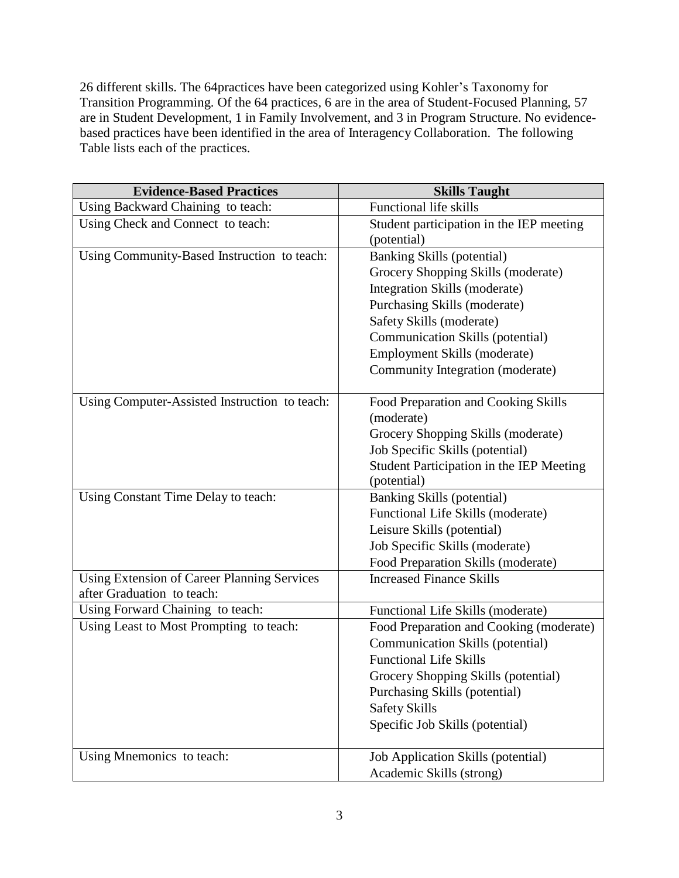26 different skills. The 64practices have been categorized using Kohler's Taxonomy for Transition Programming. Of the 64 practices, 6 are in the area of Student-Focused Planning, 57 are in Student Development, 1 in Family Involvement, and 3 in Program Structure. No evidencebased practices have been identified in the area of Interagency Collaboration. The following Table lists each of the practices.

| <b>Evidence-Based Practices</b>                                                  | <b>Skills Taught</b>                     |
|----------------------------------------------------------------------------------|------------------------------------------|
| Using Backward Chaining to teach:                                                | <b>Functional life skills</b>            |
| Using Check and Connect to teach:                                                | Student participation in the IEP meeting |
|                                                                                  | (potential)                              |
| Using Community-Based Instruction to teach:                                      | <b>Banking Skills (potential)</b>        |
|                                                                                  | Grocery Shopping Skills (moderate)       |
|                                                                                  | Integration Skills (moderate)            |
|                                                                                  | Purchasing Skills (moderate)             |
|                                                                                  | Safety Skills (moderate)                 |
|                                                                                  | Communication Skills (potential)         |
|                                                                                  | Employment Skills (moderate)             |
|                                                                                  | Community Integration (moderate)         |
| Using Computer-Assisted Instruction to teach:                                    | Food Preparation and Cooking Skills      |
|                                                                                  | (moderate)                               |
|                                                                                  | Grocery Shopping Skills (moderate)       |
|                                                                                  | Job Specific Skills (potential)          |
|                                                                                  | Student Participation in the IEP Meeting |
|                                                                                  | (potential)                              |
| Using Constant Time Delay to teach:                                              | Banking Skills (potential)               |
|                                                                                  | Functional Life Skills (moderate)        |
|                                                                                  | Leisure Skills (potential)               |
|                                                                                  | Job Specific Skills (moderate)           |
|                                                                                  | Food Preparation Skills (moderate)       |
| <b>Using Extension of Career Planning Services</b><br>after Graduation to teach: | <b>Increased Finance Skills</b>          |
| Using Forward Chaining to teach:                                                 | Functional Life Skills (moderate)        |
| Using Least to Most Prompting to teach:                                          | Food Preparation and Cooking (moderate)  |
|                                                                                  | Communication Skills (potential)         |
|                                                                                  | <b>Functional Life Skills</b>            |
|                                                                                  | Grocery Shopping Skills (potential)      |
|                                                                                  | Purchasing Skills (potential)            |
|                                                                                  | <b>Safety Skills</b>                     |
|                                                                                  | Specific Job Skills (potential)          |
| Using Mnemonics to teach:                                                        | Job Application Skills (potential)       |
|                                                                                  | Academic Skills (strong)                 |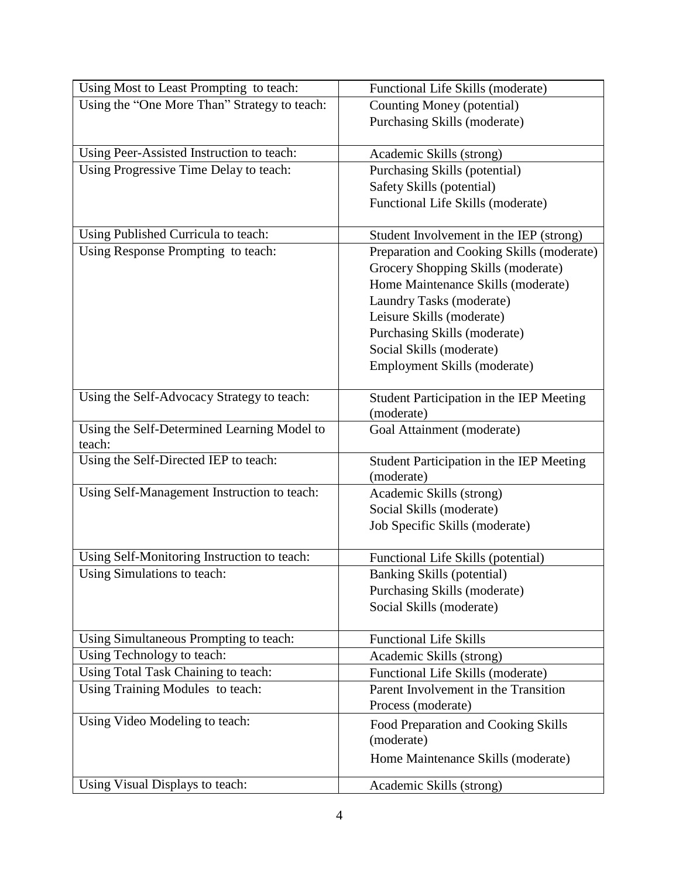| Using Most to Least Prompting to teach:               | Functional Life Skills (moderate)         |  |  |
|-------------------------------------------------------|-------------------------------------------|--|--|
| Using the "One More Than" Strategy to teach:          | Counting Money (potential)                |  |  |
|                                                       | Purchasing Skills (moderate)              |  |  |
|                                                       |                                           |  |  |
| Using Peer-Assisted Instruction to teach:             | Academic Skills (strong)                  |  |  |
| Using Progressive Time Delay to teach:                | Purchasing Skills (potential)             |  |  |
|                                                       | Safety Skills (potential)                 |  |  |
|                                                       | Functional Life Skills (moderate)         |  |  |
|                                                       |                                           |  |  |
| Using Published Curricula to teach:                   | Student Involvement in the IEP (strong)   |  |  |
| Using Response Prompting to teach:                    | Preparation and Cooking Skills (moderate) |  |  |
|                                                       | Grocery Shopping Skills (moderate)        |  |  |
|                                                       | Home Maintenance Skills (moderate)        |  |  |
|                                                       | Laundry Tasks (moderate)                  |  |  |
|                                                       | Leisure Skills (moderate)                 |  |  |
|                                                       | Purchasing Skills (moderate)              |  |  |
|                                                       | Social Skills (moderate)                  |  |  |
|                                                       | Employment Skills (moderate)              |  |  |
|                                                       |                                           |  |  |
| Using the Self-Advocacy Strategy to teach:            | Student Participation in the IEP Meeting  |  |  |
|                                                       | (moderate)                                |  |  |
| Using the Self-Determined Learning Model to<br>teach: | Goal Attainment (moderate)                |  |  |
| Using the Self-Directed IEP to teach:                 | Student Participation in the IEP Meeting  |  |  |
|                                                       | (moderate)                                |  |  |
| Using Self-Management Instruction to teach:           | Academic Skills (strong)                  |  |  |
|                                                       | Social Skills (moderate)                  |  |  |
|                                                       | Job Specific Skills (moderate)            |  |  |
|                                                       |                                           |  |  |
| Using Self-Monitoring Instruction to teach:           | Functional Life Skills (potential)        |  |  |
| Using Simulations to teach:                           | Banking Skills (potential)                |  |  |
|                                                       | Purchasing Skills (moderate)              |  |  |
|                                                       | Social Skills (moderate)                  |  |  |
|                                                       |                                           |  |  |
| Using Simultaneous Prompting to teach:                | <b>Functional Life Skills</b>             |  |  |
| Using Technology to teach:                            | Academic Skills (strong)                  |  |  |
| Using Total Task Chaining to teach:                   | Functional Life Skills (moderate)         |  |  |
| Using Training Modules to teach:                      | Parent Involvement in the Transition      |  |  |
|                                                       | Process (moderate)                        |  |  |
| Using Video Modeling to teach:                        | Food Preparation and Cooking Skills       |  |  |
|                                                       | (moderate)                                |  |  |
|                                                       | Home Maintenance Skills (moderate)        |  |  |
|                                                       |                                           |  |  |
| Using Visual Displays to teach:                       | Academic Skills (strong)                  |  |  |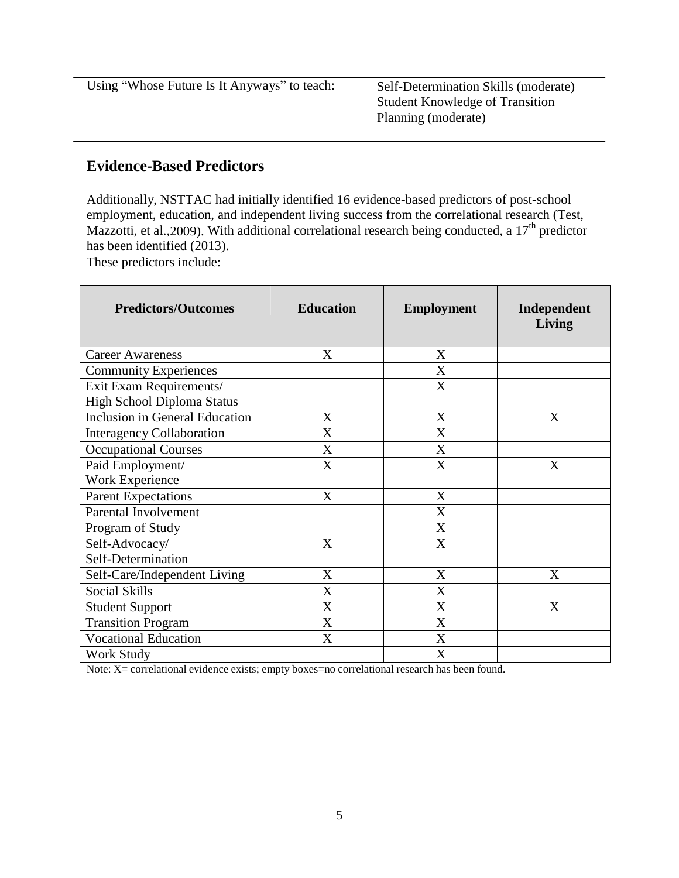| Using "Whose Future Is It Anyways" to teach: | Self-Determination Skills (moderate)   |  |
|----------------------------------------------|----------------------------------------|--|
|                                              | <b>Student Knowledge of Transition</b> |  |
|                                              | Planning (moderate)                    |  |

## **Evidence-Based Predictors**

Additionally, NSTTAC had initially identified 16 evidence-based predictors of post-school employment, education, and independent living success from the correlational research (Test, Mazzotti, et al., 2009). With additional correlational research being conducted, a 17<sup>th</sup> predictor has been identified (2013).

These predictors include:

| <b>Predictors/Outcomes</b>            | <b>Education</b> | <b>Employment</b> | Independent<br>Living |
|---------------------------------------|------------------|-------------------|-----------------------|
| <b>Career Awareness</b>               | X                | X                 |                       |
| <b>Community Experiences</b>          |                  | X                 |                       |
| Exit Exam Requirements/               |                  | X                 |                       |
| High School Diploma Status            |                  |                   |                       |
| <b>Inclusion in General Education</b> | X                | X                 | X                     |
| <b>Interagency Collaboration</b>      | X                | X                 |                       |
| <b>Occupational Courses</b>           | X                | X                 |                       |
| Paid Employment/                      | X                | X                 | X                     |
| Work Experience                       |                  |                   |                       |
| <b>Parent Expectations</b>            | X                | X                 |                       |
| Parental Involvement                  |                  | X                 |                       |
| Program of Study                      |                  | X                 |                       |
| Self-Advocacy/                        | X                | X                 |                       |
| Self-Determination                    |                  |                   |                       |
| Self-Care/Independent Living          | X                | X                 | X                     |
| <b>Social Skills</b>                  | X                | X                 |                       |
| <b>Student Support</b>                | X                | X                 | X                     |
| <b>Transition Program</b>             | X                | X                 |                       |
| <b>Vocational Education</b>           | X                | X                 |                       |
| Work Study                            |                  | X                 |                       |

Note: X= correlational evidence exists; empty boxes=no correlational research has been found.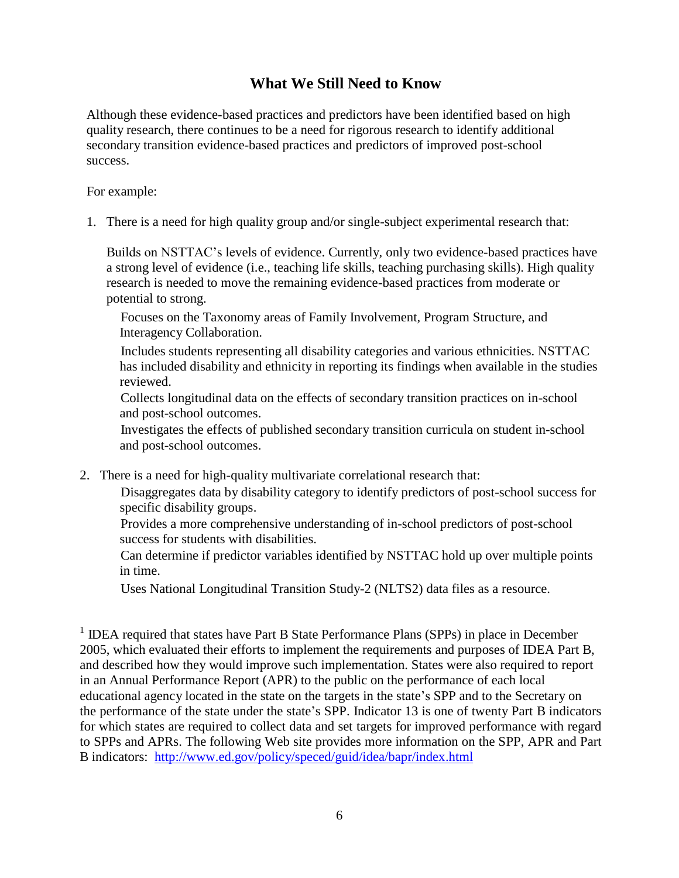# **What We Still Need to Know**

Although these evidence-based practices and predictors have been identified based on high quality research, there continues to be a need for rigorous research to identify additional secondary transition evidence-based practices and predictors of improved post-school success.

For example:

1. There is a need for high quality group and/or single-subject experimental research that:

Builds on NSTTAC's levels of evidence. Currently, only two evidence-based practices have a strong level of evidence (i.e., teaching life skills, teaching purchasing skills). High quality research is needed to move the remaining evidence-based practices from moderate or potential to strong.

 Focuses on the Taxonomy areas of Family Involvement, Program Structure, and Interagency Collaboration.

 Includes students representing all disability categories and various ethnicities. NSTTAC has included disability and ethnicity in reporting its findings when available in the studies reviewed.

 Collects longitudinal data on the effects of secondary transition practices on in-school and post-school outcomes.

 Investigates the effects of published secondary transition curricula on student in-school and post-school outcomes.

2. There is a need for high-quality multivariate correlational research that:

 Disaggregates data by disability category to identify predictors of post-school success for specific disability groups.

 Provides a more comprehensive understanding of in-school predictors of post-school success for students with disabilities.

 Can determine if predictor variables identified by NSTTAC hold up over multiple points in time.

Uses National Longitudinal Transition Study-2 (NLTS2) data files as a resource.

<sup>1</sup> IDEA required that states have Part B State Performance Plans (SPPs) in place in December 2005, which evaluated their efforts to implement the requirements and purposes of IDEA Part B, and described how they would improve such implementation. States were also required to report in an Annual Performance Report (APR) to the public on the performance of each local educational agency located in the state on the targets in the state's SPP and to the Secretary on the performance of the state under the state's SPP. Indicator 13 is one of twenty Part B indicators for which states are required to collect data and set targets for improved performance with regard to SPPs and APRs. The following Web site provides more information on the SPP, APR and Part B indicators: <http://www.ed.gov/policy/speced/guid/idea/bapr/index.html>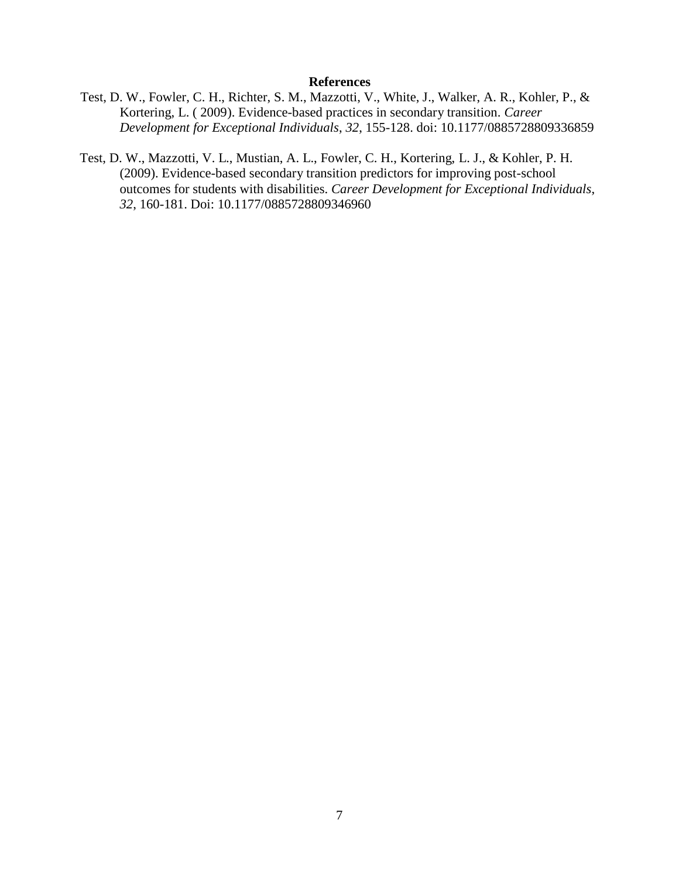#### **References**

- Test, D. W., Fowler, C. H., Richter, S. M., Mazzotti, V., White, J., Walker, A. R., Kohler, P., & Kortering, L. ( 2009). Evidence-based practices in secondary transition. *Career Development for Exceptional Individuals*, *32*, 155-128. doi: 10.1177/0885728809336859
- Test, D. W., Mazzotti, V. L., Mustian, A. L., Fowler, C. H., Kortering, L. J., & Kohler, P. H. (2009). Evidence-based secondary transition predictors for improving post-school outcomes for students with disabilities. *Career Development for Exceptional Individuals*, *32*, 160-181. Doi: 10.1177/0885728809346960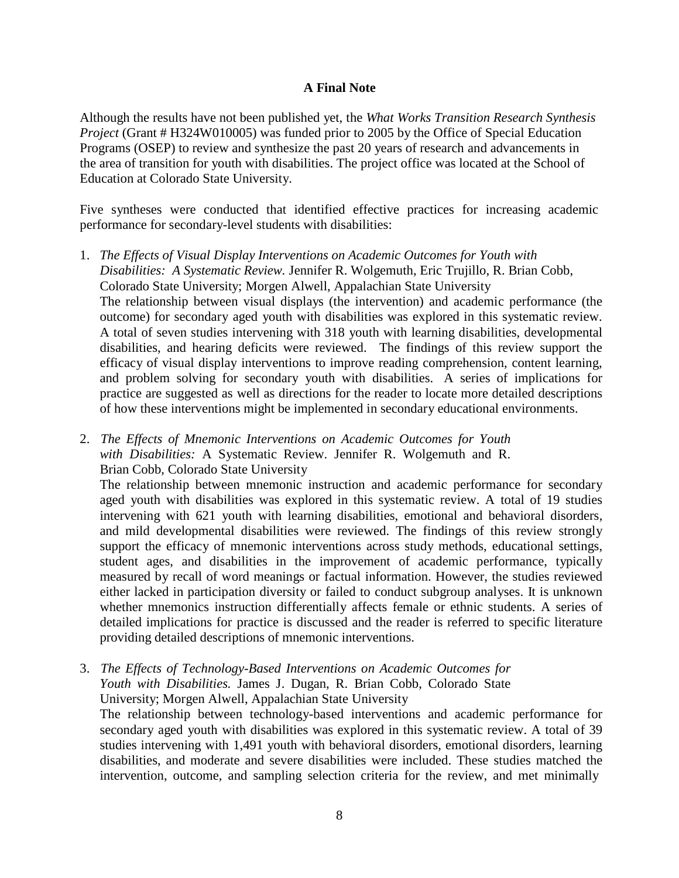#### **A Final Note**

Although the results have not been published yet, the *What Works Transition Research Synthesis Project* (Grant # H324W010005) was funded prior to 2005 by the Office of Special Education Programs (OSEP) to review and synthesize the past 20 years of research and advancements in the area of transition for youth with disabilities. The project office was located at the School of Education at Colorado State University.

Five syntheses were conducted that identified effective practices for increasing academic performance for secondary-level students with disabilities:

- 1. *The Effects of Visual Display Interventions on Academic Outcomes for Youth with Disabilities: A Systematic Review.* Jennifer R. Wolgemuth, Eric Trujillo, R. Brian Cobb, Colorado State University; Morgen Alwell, Appalachian State University The relationship between visual displays (the intervention) and academic performance (the outcome) for secondary aged youth with disabilities was explored in this systematic review. A total of seven studies intervening with 318 youth with learning disabilities, developmental disabilities, and hearing deficits were reviewed. The findings of this review support the efficacy of visual display interventions to improve reading comprehension, content learning, and problem solving for secondary youth with disabilities. A series of implications for practice are suggested as well as directions for the reader to locate more detailed descriptions of how these interventions might be implemented in secondary educational environments.
- 2. *The Effects of Mnemonic Interventions on Academic Outcomes for Youth with Disabilities:* A Systematic Review. Jennifer R. Wolgemuth and R. Brian Cobb, Colorado State University

The relationship between mnemonic instruction and academic performance for secondary aged youth with disabilities was explored in this systematic review. A total of 19 studies intervening with 621 youth with learning disabilities, emotional and behavioral disorders, and mild developmental disabilities were reviewed. The findings of this review strongly support the efficacy of mnemonic interventions across study methods, educational settings, student ages, and disabilities in the improvement of academic performance, typically measured by recall of word meanings or factual information. However, the studies reviewed either lacked in participation diversity or failed to conduct subgroup analyses. It is unknown whether mnemonics instruction differentially affects female or ethnic students. A series of detailed implications for practice is discussed and the reader is referred to specific literature providing detailed descriptions of mnemonic interventions.

3. *The Effects of Technology-Based Interventions on Academic Outcomes for Youth with Disabilities.* James J. Dugan, R. Brian Cobb, Colorado State University; Morgen Alwell, Appalachian State University The relationship between technology-based interventions and academic performance for secondary aged youth with disabilities was explored in this systematic review. A total of 39 studies intervening with 1,491 youth with behavioral disorders, emotional disorders, learning disabilities, and moderate and severe disabilities were included. These studies matched the intervention, outcome, and sampling selection criteria for the review, and met minimally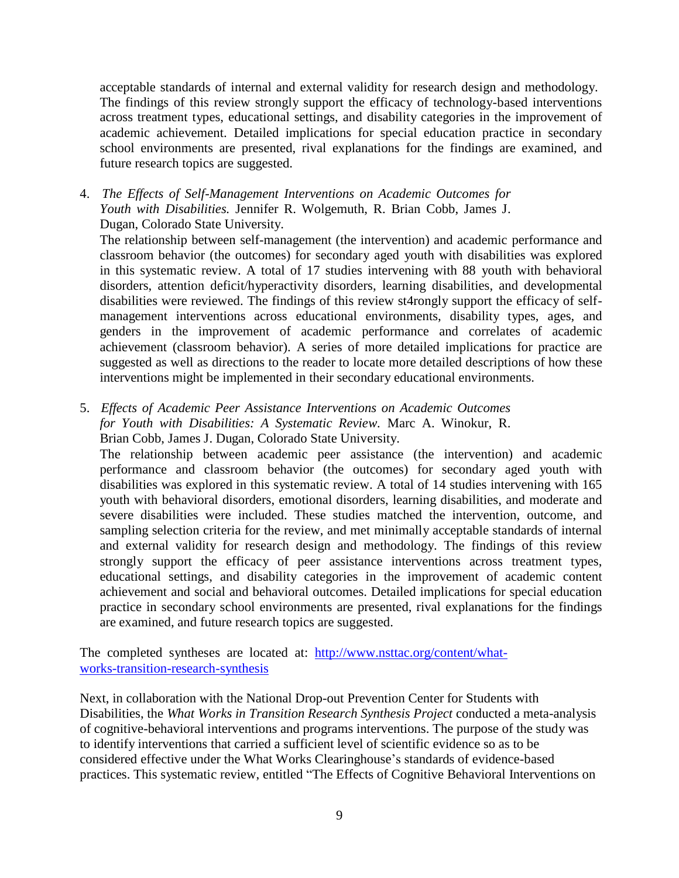acceptable standards of internal and external validity for research design and methodology. The findings of this review strongly support the efficacy of technology-based interventions across treatment types, educational settings, and disability categories in the improvement of academic achievement. Detailed implications for special education practice in secondary school environments are presented, rival explanations for the findings are examined, and future research topics are suggested.

4. *The Effects of Self-Management Interventions on Academic Outcomes for Youth with Disabilities.* Jennifer R. Wolgemuth, R. Brian Cobb, James J. Dugan, Colorado State University.

The relationship between self-management (the intervention) and academic performance and classroom behavior (the outcomes) for secondary aged youth with disabilities was explored in this systematic review. A total of 17 studies intervening with 88 youth with behavioral disorders, attention deficit/hyperactivity disorders, learning disabilities, and developmental disabilities were reviewed. The findings of this review st4rongly support the efficacy of selfmanagement interventions across educational environments, disability types, ages, and genders in the improvement of academic performance and correlates of academic achievement (classroom behavior). A series of more detailed implications for practice are suggested as well as directions to the reader to locate more detailed descriptions of how these interventions might be implemented in their secondary educational environments.

5. *Effects of Academic Peer Assistance Interventions on Academic Outcomes for Youth with Disabilities: A Systematic Review.* Marc A. Winokur, R. Brian Cobb, James J. Dugan, Colorado State University.

The relationship between academic peer assistance (the intervention) and academic performance and classroom behavior (the outcomes) for secondary aged youth with disabilities was explored in this systematic review. A total of 14 studies intervening with 165 youth with behavioral disorders, emotional disorders, learning disabilities, and moderate and severe disabilities were included. These studies matched the intervention, outcome, and sampling selection criteria for the review, and met minimally acceptable standards of internal and external validity for research design and methodology. The findings of this review strongly support the efficacy of peer assistance interventions across treatment types, educational settings, and disability categories in the improvement of academic content achievement and social and behavioral outcomes. Detailed implications for special education practice in secondary school environments are presented, rival explanations for the findings are examined, and future research topics are suggested.

The completed syntheses are located at: [http://www.nsttac.org/content/what](http://www.nsttac.org/content/what-works-transition-research-synthesis)[works-transition-research-synthesis](http://www.nsttac.org/content/what-works-transition-research-synthesis)

Next, in collaboration with the National Drop-out Prevention Center for Students with Disabilities, the *What Works in Transition Research Synthesis Project* conducted a meta-analysis of cognitive-behavioral interventions and programs interventions. The purpose of the study was to identify interventions that carried a sufficient level of scientific evidence so as to be considered effective under the What Works Clearinghouse's standards of evidence-based practices. This systematic review, entitled "The [Effects of Cognitive](http://www.ndpc-sd.org/documents/Research_Syntheses/Research_Synthesis_Effects_of_CBI.pdf) Behavioral Interventions on